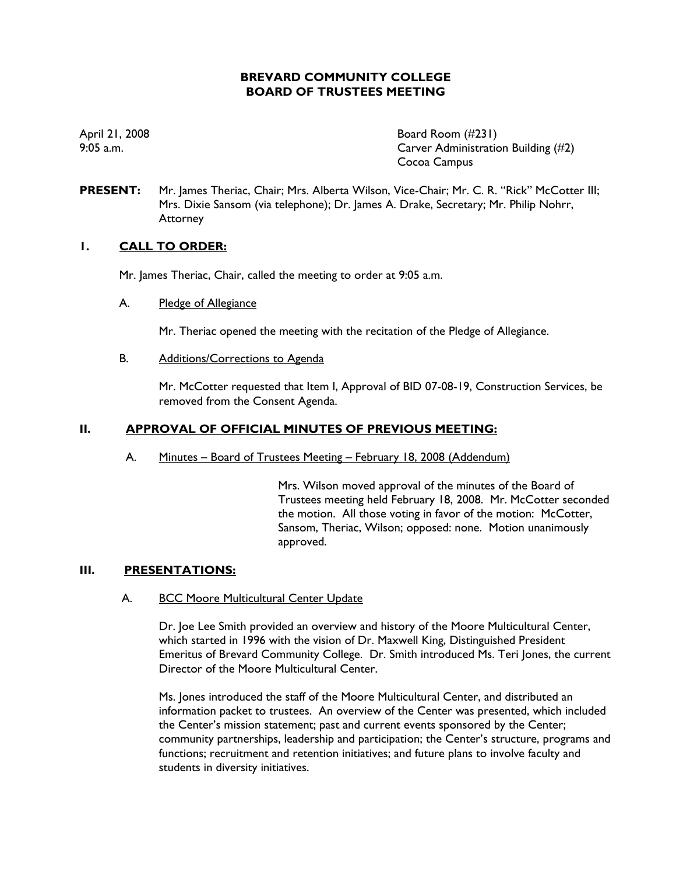# **BREVARD COMMUNITY COLLEGE BOARD OF TRUSTEES MEETING**

April 21, 2008 **Board Room** (#231) 9:05 a.m. Carver Administration Building (#2) Cocoa Campus

**PRESENT:** Mr. James Theriac, Chair; Mrs. Alberta Wilson, Vice-Chair; Mr. C. R. "Rick" McCotter III; Mrs. Dixie Sansom (via telephone); Dr. James A. Drake, Secretary; Mr. Philip Nohrr, **Attorney** 

# **1. CALL TO ORDER:**

Mr. James Theriac, Chair, called the meeting to order at 9:05 a.m.

### A. Pledge of Allegiance

Mr. Theriac opened the meeting with the recitation of the Pledge of Allegiance.

B. Additions/Corrections to Agenda

Mr. McCotter requested that Item I, Approval of BID 07-08-19, Construction Services, be removed from the Consent Agenda.

# **II. APPROVAL OF OFFICIAL MINUTES OF PREVIOUS MEETING:**

A. Minutes – Board of Trustees Meeting – February 18, 2008 (Addendum)

Mrs. Wilson moved approval of the minutes of the Board of Trustees meeting held February 18, 2008. Mr. McCotter seconded the motion. All those voting in favor of the motion: McCotter, Sansom, Theriac, Wilson; opposed: none. Motion unanimously approved.

# **III. PRESENTATIONS:**

### A. BCC Moore Multicultural Center Update

Dr. Joe Lee Smith provided an overview and history of the Moore Multicultural Center, which started in 1996 with the vision of Dr. Maxwell King, Distinguished President Emeritus of Brevard Community College. Dr. Smith introduced Ms. Teri Jones, the current Director of the Moore Multicultural Center.

Ms. Jones introduced the staff of the Moore Multicultural Center, and distributed an information packet to trustees. An overview of the Center was presented, which included the Center's mission statement; past and current events sponsored by the Center; community partnerships, leadership and participation; the Center's structure, programs and functions; recruitment and retention initiatives; and future plans to involve faculty and students in diversity initiatives.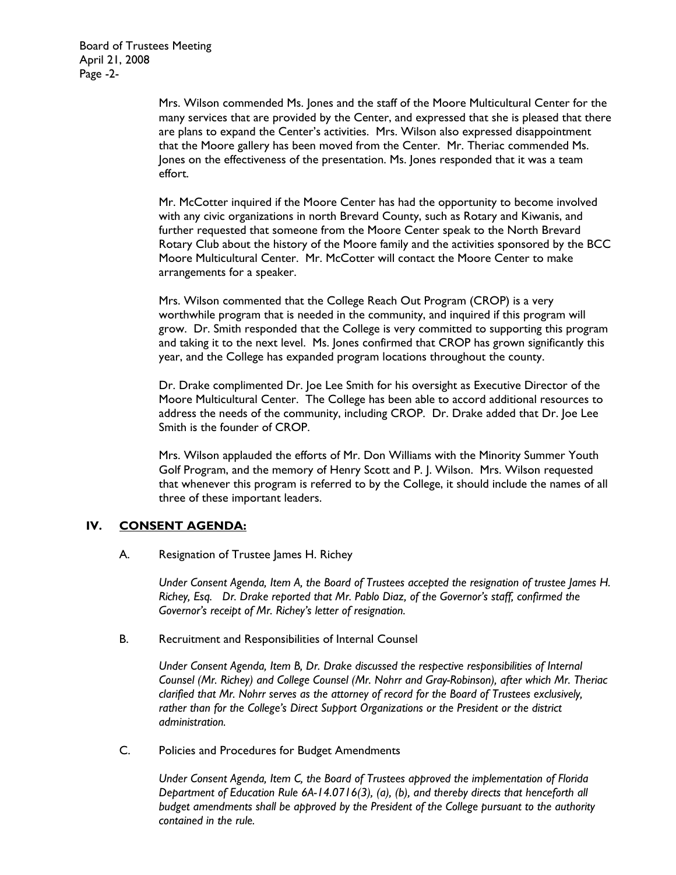Mrs. Wilson commended Ms. Jones and the staff of the Moore Multicultural Center for the many services that are provided by the Center, and expressed that she is pleased that there are plans to expand the Center's activities. Mrs. Wilson also expressed disappointment that the Moore gallery has been moved from the Center. Mr. Theriac commended Ms. Jones on the effectiveness of the presentation. Ms. Jones responded that it was a team effort.

Mr. McCotter inquired if the Moore Center has had the opportunity to become involved with any civic organizations in north Brevard County, such as Rotary and Kiwanis, and further requested that someone from the Moore Center speak to the North Brevard Rotary Club about the history of the Moore family and the activities sponsored by the BCC Moore Multicultural Center. Mr. McCotter will contact the Moore Center to make arrangements for a speaker.

Mrs. Wilson commented that the College Reach Out Program (CROP) is a very worthwhile program that is needed in the community, and inquired if this program will grow. Dr. Smith responded that the College is very committed to supporting this program and taking it to the next level. Ms. Jones confirmed that CROP has grown significantly this year, and the College has expanded program locations throughout the county.

Dr. Drake complimented Dr. Joe Lee Smith for his oversight as Executive Director of the Moore Multicultural Center. The College has been able to accord additional resources to address the needs of the community, including CROP. Dr. Drake added that Dr. Joe Lee Smith is the founder of CROP.

Mrs. Wilson applauded the efforts of Mr. Don Williams with the Minority Summer Youth Golf Program, and the memory of Henry Scott and P. J. Wilson. Mrs. Wilson requested that whenever this program is referred to by the College, it should include the names of all three of these important leaders.

# **IV. CONSENT AGENDA:**

A. Resignation of Trustee James H. Richey

*Under Consent Agenda, Item A, the Board of Trustees accepted the resignation of trustee James H. Richey, Esq. Dr. Drake reported that Mr. Pablo Diaz, of the Governor's staff, confirmed the Governor's receipt of Mr. Richey's letter of resignation.* 

B. Recruitment and Responsibilities of Internal Counsel

*Under Consent Agenda, Item B, Dr. Drake discussed the respective responsibilities of Internal Counsel (Mr. Richey) and College Counsel (Mr. Nohrr and Gray-Robinson), after which Mr. Theriac clarified that Mr. Nohrr serves as the attorney of record for the Board of Trustees exclusively, rather than for the College's Direct Support Organizations or the President or the district administration.* 

C. Policies and Procedures for Budget Amendments

*Under Consent Agenda, Item C, the Board of Trustees approved the implementation of Florida Department of Education Rule 6A-14.0716(3), (a), (b), and thereby directs that henceforth all budget amendments shall be approved by the President of the College pursuant to the authority contained in the rule.*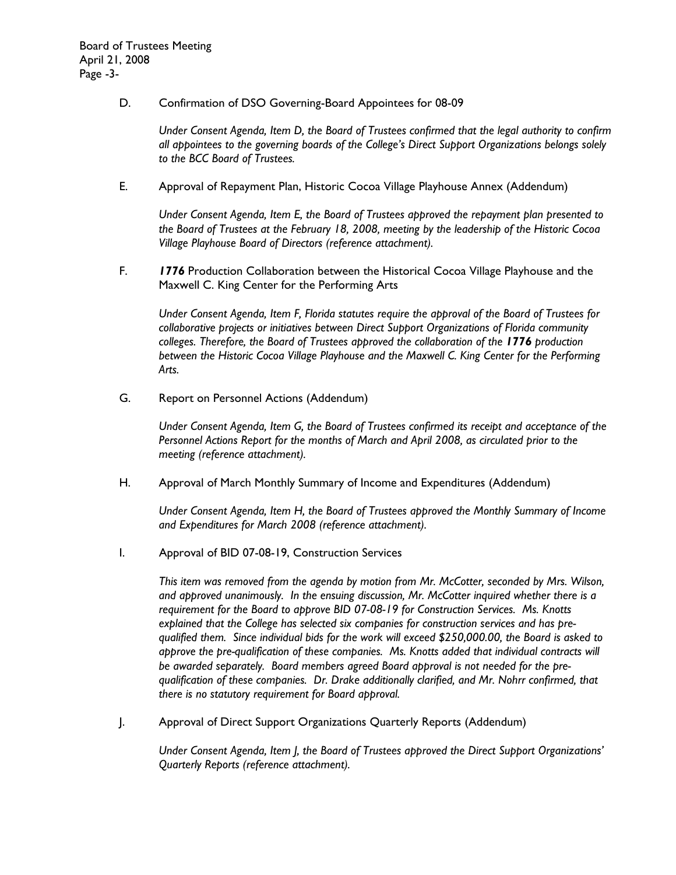D. Confirmation of DSO Governing-Board Appointees for 08-09

*Under Consent Agenda, Item D, the Board of Trustees confirmed that the legal authority to confirm all appointees to the governing boards of the College's Direct Support Organizations belongs solely to the BCC Board of Trustees.* 

E. Approval of Repayment Plan, Historic Cocoa Village Playhouse Annex (Addendum)

*Under Consent Agenda, Item E, the Board of Trustees approved the repayment plan presented to the Board of Trustees at the February 18, 2008, meeting by the leadership of the Historic Cocoa Village Playhouse Board of Directors (reference attachment).* 

F. *1776* Production Collaboration between the Historical Cocoa Village Playhouse and the Maxwell C. King Center for the Performing Arts

*Under Consent Agenda, Item F, Florida statutes require the approval of the Board of Trustees for collaborative projects or initiatives between Direct Support Organizations of Florida community colleges. Therefore, the Board of Trustees approved the collaboration of the 1776 production between the Historic Cocoa Village Playhouse and the Maxwell C. King Center for the Performing Arts.* 

G. Report on Personnel Actions (Addendum)

*Under Consent Agenda, Item G, the Board of Trustees confirmed its receipt and acceptance of the Personnel Actions Report for the months of March and April 2008, as circulated prior to the meeting (reference attachment).* 

H. Approval of March Monthly Summary of Income and Expenditures (Addendum)

*Under Consent Agenda, Item H, the Board of Trustees approved the Monthly Summary of Income and Expenditures for March 2008 (reference attachment).* 

I. Approval of BID 07-08-19, Construction Services

*This item was removed from the agenda by motion from Mr. McCotter, seconded by Mrs. Wilson, and approved unanimously. In the ensuing discussion, Mr. McCotter inquired whether there is a requirement for the Board to approve BID 07-08-19 for Construction Services. Ms. Knotts explained that the College has selected six companies for construction services and has prequalified them. Since individual bids for the work will exceed \$250,000.00, the Board is asked to approve the pre-qualification of these companies. Ms. Knotts added that individual contracts will be awarded separately. Board members agreed Board approval is not needed for the prequalification of these companies. Dr. Drake additionally clarified, and Mr. Nohrr confirmed, that there is no statutory requirement for Board approval.* 

J. Approval of Direct Support Organizations Quarterly Reports (Addendum)

*Under Consent Agenda, Item J, the Board of Trustees approved the Direct Support Organizations' Quarterly Reports (reference attachment).*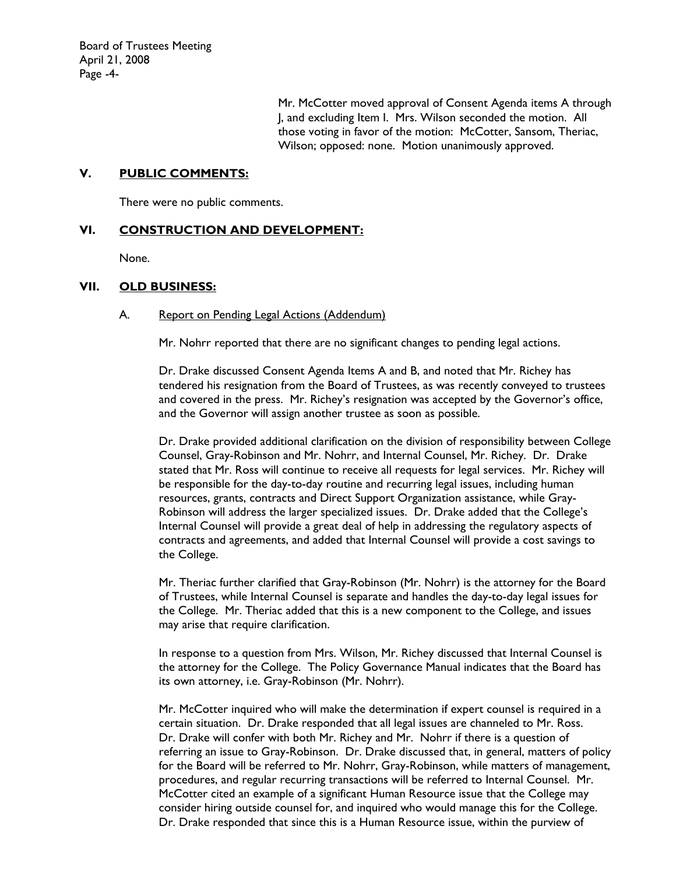Mr. McCotter moved approval of Consent Agenda items A through J, and excluding Item I. Mrs. Wilson seconded the motion. All those voting in favor of the motion: McCotter, Sansom, Theriac, Wilson; opposed: none. Motion unanimously approved.

### **V. PUBLIC COMMENTS:**

There were no public comments.

# **VI. CONSTRUCTION AND DEVELOPMENT:**

None.

### **VII. OLD BUSINESS:**

#### A. Report on Pending Legal Actions (Addendum)

Mr. Nohrr reported that there are no significant changes to pending legal actions.

Dr. Drake discussed Consent Agenda Items A and B, and noted that Mr. Richey has tendered his resignation from the Board of Trustees, as was recently conveyed to trustees and covered in the press. Mr. Richey's resignation was accepted by the Governor's office, and the Governor will assign another trustee as soon as possible.

Dr. Drake provided additional clarification on the division of responsibility between College Counsel, Gray-Robinson and Mr. Nohrr, and Internal Counsel, Mr. Richey. Dr. Drake stated that Mr. Ross will continue to receive all requests for legal services. Mr. Richey will be responsible for the day-to-day routine and recurring legal issues, including human resources, grants, contracts and Direct Support Organization assistance, while Gray-Robinson will address the larger specialized issues. Dr. Drake added that the College's Internal Counsel will provide a great deal of help in addressing the regulatory aspects of contracts and agreements, and added that Internal Counsel will provide a cost savings to the College.

Mr. Theriac further clarified that Gray-Robinson (Mr. Nohrr) is the attorney for the Board of Trustees, while Internal Counsel is separate and handles the day-to-day legal issues for the College. Mr. Theriac added that this is a new component to the College, and issues may arise that require clarification.

In response to a question from Mrs. Wilson, Mr. Richey discussed that Internal Counsel is the attorney for the College. The Policy Governance Manual indicates that the Board has its own attorney, i.e. Gray-Robinson (Mr. Nohrr).

Mr. McCotter inquired who will make the determination if expert counsel is required in a certain situation. Dr. Drake responded that all legal issues are channeled to Mr. Ross. Dr. Drake will confer with both Mr. Richey and Mr. Nohrr if there is a question of referring an issue to Gray-Robinson. Dr. Drake discussed that, in general, matters of policy for the Board will be referred to Mr. Nohrr, Gray-Robinson, while matters of management, procedures, and regular recurring transactions will be referred to Internal Counsel. Mr. McCotter cited an example of a significant Human Resource issue that the College may consider hiring outside counsel for, and inquired who would manage this for the College. Dr. Drake responded that since this is a Human Resource issue, within the purview of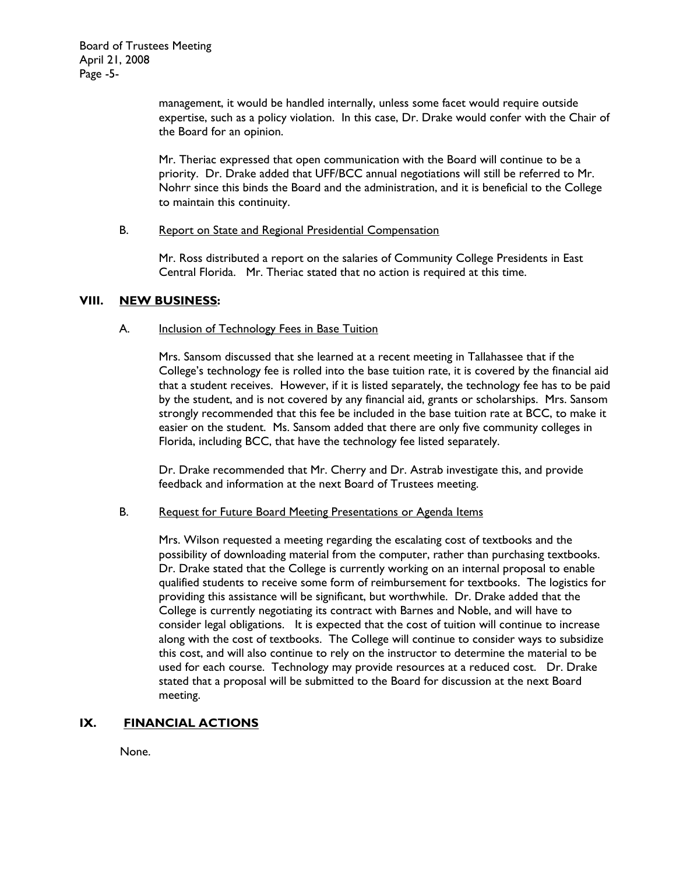management, it would be handled internally, unless some facet would require outside expertise, such as a policy violation. In this case, Dr. Drake would confer with the Chair of the Board for an opinion.

Mr. Theriac expressed that open communication with the Board will continue to be a priority. Dr. Drake added that UFF/BCC annual negotiations will still be referred to Mr. Nohrr since this binds the Board and the administration, and it is beneficial to the College to maintain this continuity.

### B. Report on State and Regional Presidential Compensation

Mr. Ross distributed a report on the salaries of Community College Presidents in East Central Florida. Mr. Theriac stated that no action is required at this time.

### **VIII. NEW BUSINESS:**

#### A. Inclusion of Technology Fees in Base Tuition

Mrs. Sansom discussed that she learned at a recent meeting in Tallahassee that if the College's technology fee is rolled into the base tuition rate, it is covered by the financial aid that a student receives. However, if it is listed separately, the technology fee has to be paid by the student, and is not covered by any financial aid, grants or scholarships. Mrs. Sansom strongly recommended that this fee be included in the base tuition rate at BCC, to make it easier on the student. Ms. Sansom added that there are only five community colleges in Florida, including BCC, that have the technology fee listed separately.

Dr. Drake recommended that Mr. Cherry and Dr. Astrab investigate this, and provide feedback and information at the next Board of Trustees meeting.

#### B. Request for Future Board Meeting Presentations or Agenda Items

Mrs. Wilson requested a meeting regarding the escalating cost of textbooks and the possibility of downloading material from the computer, rather than purchasing textbooks. Dr. Drake stated that the College is currently working on an internal proposal to enable qualified students to receive some form of reimbursement for textbooks. The logistics for providing this assistance will be significant, but worthwhile. Dr. Drake added that the College is currently negotiating its contract with Barnes and Noble, and will have to consider legal obligations. It is expected that the cost of tuition will continue to increase along with the cost of textbooks. The College will continue to consider ways to subsidize this cost, and will also continue to rely on the instructor to determine the material to be used for each course. Technology may provide resources at a reduced cost. Dr. Drake stated that a proposal will be submitted to the Board for discussion at the next Board meeting.

### **IX. FINANCIAL ACTIONS**

None.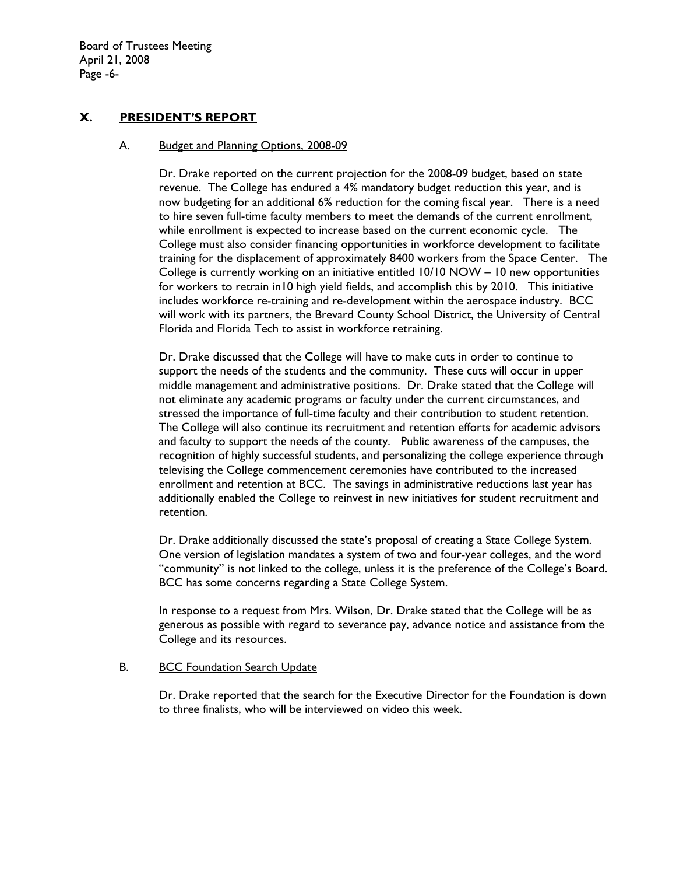Board of Trustees Meeting April 21, 2008 Page -6-

### **X. PRESIDENT'S REPORT**

#### A. Budget and Planning Options, 2008-09

Dr. Drake reported on the current projection for the 2008-09 budget, based on state revenue. The College has endured a 4% mandatory budget reduction this year, and is now budgeting for an additional 6% reduction for the coming fiscal year. There is a need to hire seven full-time faculty members to meet the demands of the current enrollment, while enrollment is expected to increase based on the current economic cycle. The College must also consider financing opportunities in workforce development to facilitate training for the displacement of approximately 8400 workers from the Space Center. The College is currently working on an initiative entitled 10/10 NOW – 10 new opportunities for workers to retrain in10 high yield fields, and accomplish this by 2010. This initiative includes workforce re-training and re-development within the aerospace industry. BCC will work with its partners, the Brevard County School District, the University of Central Florida and Florida Tech to assist in workforce retraining.

Dr. Drake discussed that the College will have to make cuts in order to continue to support the needs of the students and the community. These cuts will occur in upper middle management and administrative positions. Dr. Drake stated that the College will not eliminate any academic programs or faculty under the current circumstances, and stressed the importance of full-time faculty and their contribution to student retention. The College will also continue its recruitment and retention efforts for academic advisors and faculty to support the needs of the county. Public awareness of the campuses, the recognition of highly successful students, and personalizing the college experience through televising the College commencement ceremonies have contributed to the increased enrollment and retention at BCC. The savings in administrative reductions last year has additionally enabled the College to reinvest in new initiatives for student recruitment and retention.

Dr. Drake additionally discussed the state's proposal of creating a State College System. One version of legislation mandates a system of two and four-year colleges, and the word "community" is not linked to the college, unless it is the preference of the College's Board. BCC has some concerns regarding a State College System.

In response to a request from Mrs. Wilson, Dr. Drake stated that the College will be as generous as possible with regard to severance pay, advance notice and assistance from the College and its resources.

### B. BCC Foundation Search Update

Dr. Drake reported that the search for the Executive Director for the Foundation is down to three finalists, who will be interviewed on video this week.